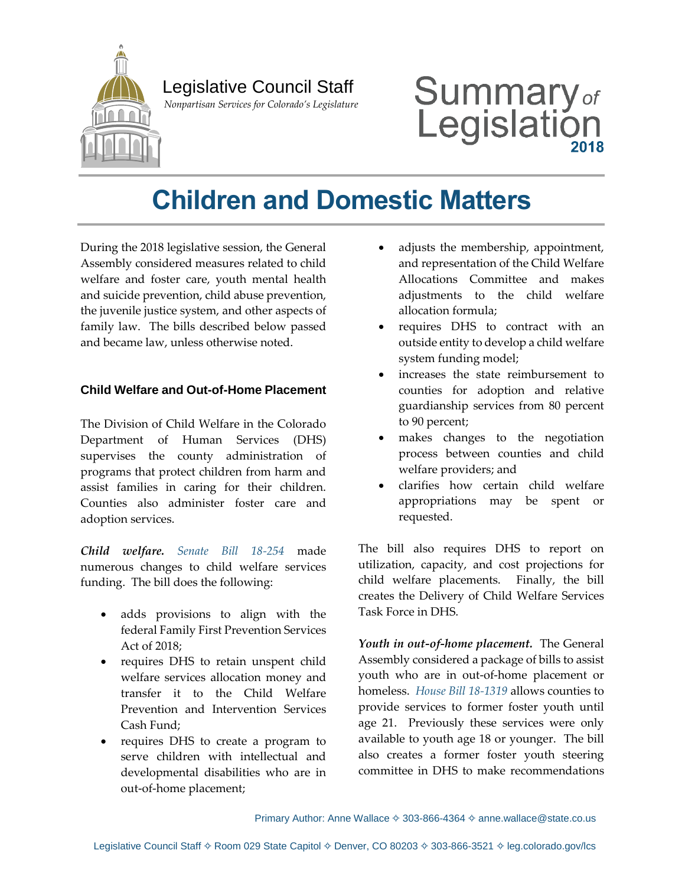

## Legislative Council Staff

 *Nonpartisan Services for Colorado's Legislature*

# Summary<sub>of</sub><br>Legislation

## **Children and Domestic Matters**

During the 2018 legislative session, the General Assembly considered measures related to child welfare and foster care, youth mental health and suicide prevention, child abuse prevention, the juvenile justice system, and other aspects of family law. The bills described below passed and became law, unless otherwise noted.

## **Child Welfare and Out-of-Home Placement**

The Division of Child Welfare in the Colorado Department of Human Services (DHS) supervises the county administration of programs that protect children from harm and assist families in caring for their children. Counties also administer foster care and adoption services.

*Child welfare. [Senate Bill 18-254](http://leg.colorado.gov/bills/sb18-254)* made numerous changes to child welfare services funding. The bill does the following:

- adds provisions to align with the federal Family First Prevention Services Act of 2018;
- requires DHS to retain unspent child welfare services allocation money and transfer it to the Child Welfare Prevention and Intervention Services Cash Fund;
- requires DHS to create a program to serve children with intellectual and developmental disabilities who are in out-of-home placement;
- adjusts the membership, appointment, and representation of the Child Welfare Allocations Committee and makes adjustments to the child welfare allocation formula;
- requires DHS to contract with an outside entity to develop a child welfare system funding model;
- increases the state reimbursement to counties for adoption and relative guardianship services from 80 percent to 90 percent;
- makes changes to the negotiation process between counties and child welfare providers; and
- clarifies how certain child welfare appropriations may be spent or requested.

The bill also requires DHS to report on utilization, capacity, and cost projections for child welfare placements. Finally, the bill creates the Delivery of Child Welfare Services Task Force in DHS.

*Youth in out-of-home placement.* The General Assembly considered a package of bills to assist youth who are in out-of-home placement or homeless. *[House Bill 18-1319](http://leg.colorado.gov/bills/hb18-1319)* allows counties to provide services to former foster youth until age 21. Previously these services were only available to youth age 18 or younger. The bill also creates a former foster youth steering committee in DHS to make recommendations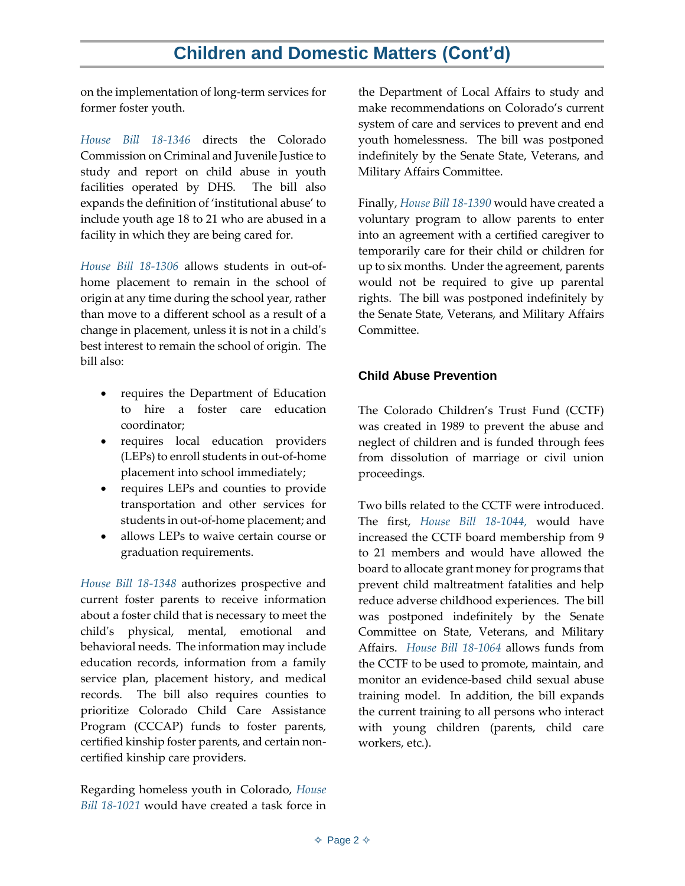## **Children and Domestic Matters (Cont'd)**

on the implementation of long-term services for former foster youth.

*[House Bill 18-1346](http://leg.colorado.gov/bills/hb18-1346)* directs the Colorado Commission on Criminal and Juvenile Justice to study and report on child abuse in youth facilities operated by DHS. The bill also expands the definition of 'institutional abuse' to include youth age 18 to 21 who are abused in a facility in which they are being cared for.

*[House Bill 18-1306](http://leg.colorado.gov/bills/hb18-1306)* allows students in out-ofhome placement to remain in the school of origin at any time during the school year, rather than move to a different school as a result of a change in placement, unless it is not in a child's best interest to remain the school of origin. The bill also:

- requires the Department of Education to hire a foster care education coordinator;
- requires local education providers (LEPs) to enroll students in out-of-home placement into school immediately;
- requires LEPs and counties to provide transportation and other services for students in out-of-home placement; and
- allows LEPs to waive certain course or graduation requirements.

*[House Bill 18-1348](http://leg.colorado.gov/bills/hb18-1348)* authorizes prospective and current foster parents to receive information about a foster child that is necessary to meet the child's physical, mental, emotional and behavioral needs. The information may include education records, information from a family service plan, placement history, and medical records. The bill also requires counties to prioritize Colorado Child Care Assistance Program (CCCAP) funds to foster parents, certified kinship foster parents, and certain noncertified kinship care providers.

Regarding homeless youth in Colorado, *[House](http://leg.colorado.gov/bills/hb18-1021)  [Bill 18-1021](http://leg.colorado.gov/bills/hb18-1021)* would have created a task force in the Department of Local Affairs to study and make recommendations on Colorado's current system of care and services to prevent and end youth homelessness. The bill was postponed indefinitely by the Senate State, Veterans, and Military Affairs Committee.

Finally, *[House Bill 18-1390](http://leg.colorado.gov/bills/hb18-1306)* would have created a voluntary program to allow parents to enter into an agreement with a certified caregiver to temporarily care for their child or children for up to six months. Under the agreement, parents would not be required to give up parental rights. The bill was postponed indefinitely by the Senate State, Veterans, and Military Affairs Committee.

### **Child Abuse Prevention**

The Colorado Children's Trust Fund (CCTF) was created in 1989 to prevent the abuse and neglect of children and is funded through fees from dissolution of marriage or civil union proceedings.

Two bills related to the CCTF were introduced. The first, *[House Bill 18-1044,](http://leg.colorado.gov/bills/hb18-1044)* would have increased the CCTF board membership from 9 to 21 members and would have allowed the board to allocate grant money for programs that prevent child maltreatment fatalities and help reduce adverse childhood experiences. The bill was postponed indefinitely by the Senate Committee on State, Veterans, and Military Affairs. *[House Bill 18-1064](http://leg.colorado.gov/bills/hb18-1064)* allows funds from the CCTF to be used to promote, maintain, and monitor an evidence-based child sexual abuse training model. In addition, the bill expands the current training to all persons who interact with young children (parents, child care workers, etc.).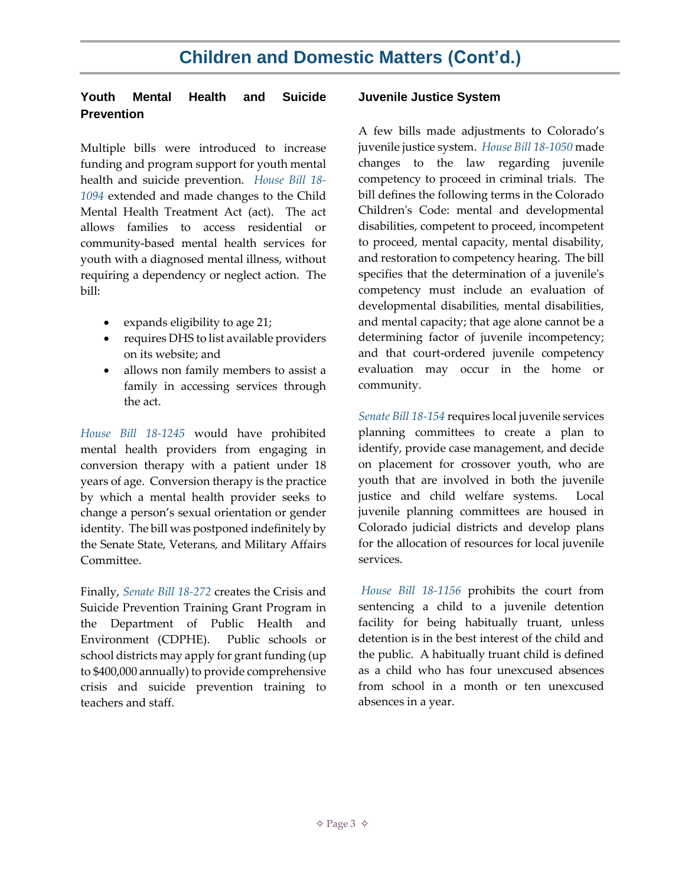## **Children and Domestic Matters (Cont'd.)**

### **Youth Mental Health and Suicide Prevention**

Multiple bills were introduced to increase funding and program support for youth mental health and suicide prevention. *[House Bill 18-](http://leg.colorado.gov/bills/hb18-1094) [1094](http://leg.colorado.gov/bills/hb18-1094)* extended and made changes to the Child Mental Health Treatment Act (act). The act allows families to access residential or community-based mental health services for youth with a diagnosed mental illness, without requiring a dependency or neglect action. The bill:

- expands eligibility to age 21;
- requires DHS to list available providers on its website; and
- allows non family members to assist a family in accessing services through the act.

*[House Bill 18-1245](http://leg.colorado.gov/bills/hb17-1156)* would have prohibited mental health providers from engaging in conversion therapy with a patient under 18 years of age. Conversion therapy is the practice by which a mental health provider seeks to change a person's sexual orientation or gender identity. The bill was postponed indefinitely by the Senate State, Veterans, and Military Affairs Committee.

Finally, *[Senate Bill 18-272](http://leg.colorado.gov/bills/sb18-272)* creates the Crisis and Suicide Prevention Training Grant Program in the Department of Public Health and Environment (CDPHE). Public schools or school districts may apply for grant funding (up to \$400,000 annually) to provide comprehensive crisis and suicide prevention training to teachers and staff.

#### **Juvenile Justice System**

A few bills made adjustments to Colorado's juvenile justice system. *[House Bill 18-1050](https://leg.colorado.gov/bills/hb18-1050)* made changes to the law regarding juvenile competency to proceed in criminal trials. The bill defines the following terms in the Colorado Children's Code: mental and developmental disabilities, competent to proceed, incompetent to proceed, mental capacity, mental disability, and restoration to competency hearing. The bill specifies that the determination of a juvenile's competency must include an evaluation of developmental disabilities, mental disabilities, and mental capacity; that age alone cannot be a determining factor of juvenile incompetency; and that court-ordered juvenile competency evaluation may occur in the home or community.

*[Senate Bill 18-154](http://leg.colorado.gov/bills/sb18-154)* requires local juvenile services planning committees to create a plan to identify, provide case management, and decide on placement for crossover youth, who are youth that are involved in both the juvenile justice and child welfare systems. Local juvenile planning committees are housed in Colorado judicial districts and develop plans for the allocation of resources for local juvenile services.

*[House Bill 18-1156](http://leg.colorado.gov/bills/hb18-1156)* prohibits the court from sentencing a child to a juvenile detention facility for being habitually truant, unless detention is in the best interest of the child and the public. A habitually truant child is defined as a child who has four unexcused absences from school in a month or ten unexcused absences in a year.